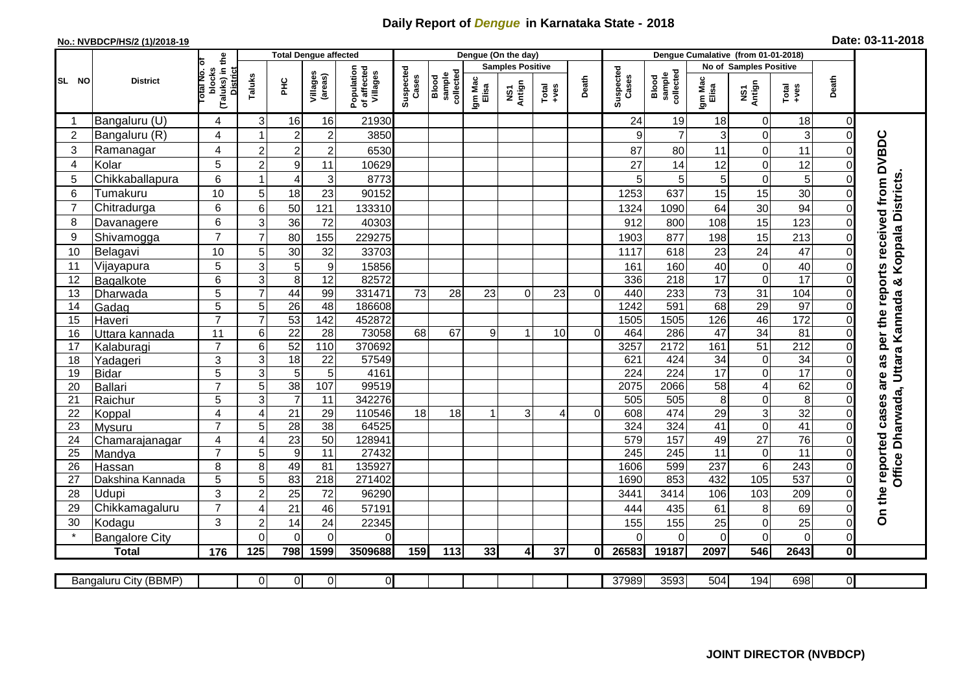## **Daily Report of** *Dengue* **in Karnataka State - 2018**

## **No.: NVBDCP/HS/2 (1)/2018-19 Date: 03-11-2018**

|                | <b>District</b>              |                                                      | <b>Total Dengue affected</b> |                  |                     |                                       |                    |                              |                         | Dengue (On the day) |                  |                |                    |                                     |                        |                         |                  |                |                                            |
|----------------|------------------------------|------------------------------------------------------|------------------------------|------------------|---------------------|---------------------------------------|--------------------|------------------------------|-------------------------|---------------------|------------------|----------------|--------------------|-------------------------------------|------------------------|-------------------------|------------------|----------------|--------------------------------------------|
|                |                              |                                                      |                              |                  |                     |                                       | Suspected<br>Cases |                              | <b>Samples Positive</b> |                     |                  |                |                    |                                     | No of Samples Positive |                         |                  |                |                                            |
| SL NO          |                              | (Taluks) in the<br>District<br>otal No. of<br>blocks | Taluks                       | <b>PHC</b>       | Villages<br>(areas) | Population<br>of affected<br>Villages |                    | Blood<br>sample<br>collected | Igm Mac<br>Elisa        | NS1<br>Antign       | $Tota$<br>$+ves$ | Death          | Suspected<br>Cases | collected<br><b>Blood</b><br>sample | Igm Mac<br>Elisa       | NS1<br>Antign           | $Tota$<br>$+ves$ | Death          |                                            |
|                | Bangaluru (U)                | $\overline{4}$                                       | 3                            | 16               | 16                  | 21930                                 |                    |                              |                         |                     |                  |                | 24                 | 19                                  | 18                     | 0                       | 18               | $\mathbf 0$    |                                            |
| $\overline{2}$ | Bangaluru (R)                | 4                                                    |                              | $\overline{2}$   | $\overline{c}$      | 3850                                  |                    |                              |                         |                     |                  |                | 9                  | $\overline{7}$                      | 3                      | 0                       | 3                | $\mathbf 0$    |                                            |
| 3              | Ramanagar                    | 4                                                    | $\overline{2}$               | $\overline{2}$   | $\overline{c}$      | 6530                                  |                    |                              |                         |                     |                  |                | 87                 | 80                                  | 11                     | $\overline{0}$          | 11               | $\Omega$       | are as per the reports received from DVBDC |
| 4              | Kolar                        | 5                                                    | $\overline{c}$               | $\boldsymbol{9}$ | 11                  | 10629                                 |                    |                              |                         |                     |                  |                | 27                 | 14                                  | 12                     | 0                       | 12               | 0              |                                            |
| 5              | Chikkaballapura              | 6                                                    |                              | $\overline{4}$   | 3                   | 8773                                  |                    |                              |                         |                     |                  |                | 5                  | 5                                   | 5                      | 0                       | 5                | $\Omega$       |                                            |
| 6              | Tumakuru                     | 10                                                   | 5                            | 18               | 23                  | 90152                                 |                    |                              |                         |                     |                  |                | 1253               | 637                                 | 15                     | 15                      | 30               | $\Omega$       | Koppala Districts                          |
| $\overline{7}$ | Chitradurga                  | 6                                                    | 6                            | 50               | 121                 | 133310                                |                    |                              |                         |                     |                  |                | 1324               | 1090                                | 64                     | 30                      | 94               | 0              |                                            |
| 8              | Davanagere                   | 6                                                    | 3                            | 36               | 72                  | 40303                                 |                    |                              |                         |                     |                  |                | 912                | 800                                 | 108                    | 15                      | 123              | $\mathbf 0$    |                                            |
| 9              | Shivamogga                   | $\overline{7}$                                       | $\overline{7}$               | 80               | 155                 | 229275                                |                    |                              |                         |                     |                  |                | 1903               | 877                                 | 198                    | 15                      | 213              | $\Omega$       |                                            |
| 10             | Belagavi                     | 10                                                   | 5                            | 30               | 32                  | 33703                                 |                    |                              |                         |                     |                  |                | 1117               | 618                                 | 23                     | 24                      | 47               | $\mathbf 0$    |                                            |
| 11             | Vijayapura                   | 5                                                    | 3                            | 5                | $\boldsymbol{9}$    | 15856                                 |                    |                              |                         |                     |                  |                | 161                | 160                                 | 40                     | 0                       | 40               | $\Omega$       |                                            |
| 12             | Bagalkote                    | 6                                                    | 3                            | 8                | 12                  | 82572                                 |                    |                              |                         |                     |                  |                | 336                | 218                                 | 17                     | 0                       | 17               | $\Omega$       | ×                                          |
| 13             | Dharwada                     | 5                                                    | $\overline{7}$               | 44               | 99                  | 331471                                | 73                 | 28                           | 23                      | $\Omega$            | 23               | $\overline{0}$ | 440                | 233                                 | 73                     | $\overline{31}$         | 104              | $\mathbf 0$    |                                            |
| 14             | Gadag                        | $\overline{5}$                                       | 5                            | $\overline{26}$  | 48                  | 186608                                |                    |                              |                         |                     |                  |                | 1242               | 591                                 | 68                     | 29                      | 97               | $\mathbf 0$    |                                            |
| 15             | Haveri                       | $\overline{7}$                                       | $\overline{7}$               | 53               | $\overline{142}$    | 452872                                |                    |                              |                         |                     |                  |                | 1505               | 1505                                | 126                    | 46                      | $\frac{172}{2}$  | $\mathbf 0$    |                                            |
| 16             | Uttara kannada               | 11                                                   | 6                            | $\overline{22}$  | 28                  | 73058                                 | 68                 | 67                           | 9                       | 1                   | 10 <sup>1</sup>  | $\Omega$       | 464                | 286                                 | 47                     | 34                      | $\overline{81}$  | $\Omega$       | Uttara Kannada                             |
| 17             | Kalaburagi                   | $\overline{7}$                                       | 6                            | 52               | 110                 | 370692                                |                    |                              |                         |                     |                  |                | 3257               | 2172                                | 161                    | $\overline{51}$         | 212              | $\mathbf 0$    |                                            |
| 18             | Yadageri                     | 3                                                    | 3                            | 18               | 22                  | 57549                                 |                    |                              |                         |                     |                  |                | 621                | 424                                 | 34                     | $\boldsymbol{0}$        | $\overline{34}$  | $\Omega$       |                                            |
| 19             | Bidar                        | $\overline{5}$                                       | 3                            | $\overline{5}$   | 5                   | 4161                                  |                    |                              |                         |                     |                  |                | 224                | 224                                 | 17                     | $\overline{0}$          | 17               | $\Omega$       |                                            |
| 20             | Ballari                      | $\overline{7}$                                       | 5                            | 38               | 107                 | 99519                                 |                    |                              |                         |                     |                  |                | 2075               | 2066                                | 58                     | $\overline{\mathbf{4}}$ | 62               | $\mathbf 0$    |                                            |
| 21             | Raichur                      | $\overline{5}$                                       | 3                            | $\overline{7}$   | 11                  | 342276                                |                    |                              |                         |                     |                  |                | 505                | 505                                 | 8                      | 0                       | $\overline{8}$   | $\mathbf 0$    |                                            |
| 22             | Koppal                       | $\overline{4}$                                       | $\overline{4}$               | $\overline{21}$  | 29                  | 110546                                | 18                 | 18                           |                         | 3                   | 4                | $\Omega$       | 608                | 474                                 | 29                     | 3                       | 32               | $\Omega$       |                                            |
| 23             | Mysuru                       | $\overline{7}$                                       | 5                            | $\overline{28}$  | $\overline{38}$     | 64525                                 |                    |                              |                         |                     |                  |                | 324                | 324                                 | 41                     | $\overline{0}$          | 41               | $\Omega$       |                                            |
| 24             | Chamarajanagar               | $\overline{4}$                                       | $\overline{4}$               | 23               | 50                  | 128941                                |                    |                              |                         |                     |                  |                | 579                | 157                                 | 49                     | $\overline{27}$         | 76               | $\mathbf 0$    | Office Dharwada,                           |
| 25             | Mandya                       | $\overline{7}$                                       | 5                            | $\overline{9}$   | 11                  | 27432                                 |                    |                              |                         |                     |                  |                | 245                | $\overline{245}$                    | 11                     | $\pmb{0}$               | $\overline{11}$  | $\Omega$       |                                            |
| 26             | Hassan                       | 8                                                    | 8                            | 49               | 81                  | 135927                                |                    |                              |                         |                     |                  |                | 1606               | 599                                 | 237                    | $\overline{6}$          | 243              | $\mathbf 0$    |                                            |
| 27             | Dakshina Kannada             | 5                                                    | 5                            | 83               | 218                 | 271402                                |                    |                              |                         |                     |                  |                | 1690               | 853                                 | 432                    | 105                     | 537              | $\mathbf 0$    |                                            |
| 28             | Udupi                        | 3                                                    | $\overline{2}$               | 25               | 72                  | 96290                                 |                    |                              |                         |                     |                  |                | 3441               | 3414                                | 106                    | 103                     | 209              | $\Omega$       |                                            |
| 29             | Chikkamagaluru               | $\overline{7}$                                       | 4                            | 21               | 46                  | 57191                                 |                    |                              |                         |                     |                  |                | 444                | 435                                 | 61                     | 8                       | 69               | 0              | On the reported cases                      |
| 30             | Kodagu                       | 3                                                    | $\overline{2}$               | 14               | 24                  | 22345                                 |                    |                              |                         |                     |                  |                | 155                | 155                                 | 25                     | 0                       | 25               | $\mathbf 0$    |                                            |
|                | <b>Bangalore City</b>        |                                                      | $\Omega$                     | $\Omega$         | $\Omega$            | $\Omega$                              |                    |                              |                         |                     |                  |                | $\Omega$           | $\Omega$                            | 0                      | $\overline{0}$          | $\overline{O}$   | $\mathbf 0$    |                                            |
|                | <b>Total</b>                 | 176                                                  | 125                          | 798              | 1599                | 3509688                               | 159                | 113                          | 33                      | $\overline{4}$      | 37               | Οl             | 26583              | 19187                               | 2097                   | 546                     | 2643             | $\mathbf 0$    |                                            |
|                | <b>Bangaluru City (BBMP)</b> |                                                      | $\overline{0}$               | $\overline{0}$   | 0                   | 0                                     |                    |                              |                         |                     |                  |                | 37989              | 3593                                | 504                    | 194                     | 698              | $\overline{0}$ |                                            |